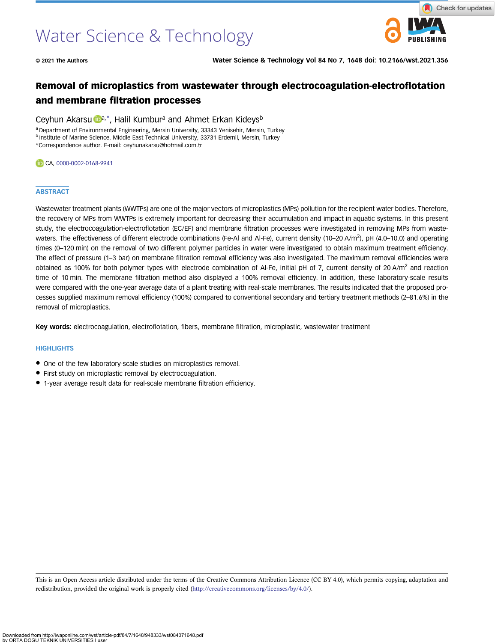# Water Science & Technology



© 2021 The Authors Water Science & Technology Vol 84 No 7, 1648 doi: 10.2166/wst.2021.356

# Removal of microplastics from wastewater through electrocoagulation-electroflotation and membrane filtration processes

# Ceyhun Ak[a](https://orcid.org/0000-0002-0168-9941)rsu **D**<sup>a,\*</sup>, Halil Kumbur<sup>a</sup> and Ahmet Erkan Kideys<sup>b</sup>

<sup>a</sup> Department of Environmental Engineering, Mersin University, 33343 Yenisehir, Mersin, Turkey

**b Institute of Marine Science, Middle East Technical University, 33731 Erdemli, Mersin, Turkey** 

\*Correspondence author. E-mail: [ceyhunakarsu@hotmail.com.tr](mailto:ceyhunakarsu@hotmail.com.tr)

#### CA, [0000-0002-0168-9941](http://orcid.org/0000-0002-0168-9941)

#### **ABSTRACT**

Wastewater treatment plants (WWTPs) are one of the major vectors of microplastics (MPs) pollution for the recipient water bodies. Therefore, the recovery of MPs from WWTPs is extremely important for decreasing their accumulation and impact in aquatic systems. In this present study, the electrocoagulation-electroflotation (EC/EF) and membrane filtration processes were investigated in removing MPs from wastewaters. The effectiveness of different electrode combinations (Fe-Al and Al-Fe), current density (10–20 A/m<sup>2</sup>), pH (4.0–10.0) and operating times (0–120 min) on the removal of two different polymer particles in water were investigated to obtain maximum treatment efficiency. The effect of pressure (1–3 bar) on membrane filtration removal efficiency was also investigated. The maximum removal efficiencies were obtained as 100% for both polymer types with electrode combination of Al-Fe, initial pH of 7, current density of 20 A/m<sup>2</sup> and reaction time of 10 min. The membrane filtration method also displayed a 100% removal efficiency. In addition, these laboratory-scale results were compared with the one-year average data of a plant treating with real-scale membranes. The results indicated that the proposed processes supplied maximum removal efficiency (100%) compared to conventional secondary and tertiary treatment methods (2–81.6%) in the removal of microplastics.

Key words: electrocoagulation, electroflotation, fibers, membrane filtration, microplastic, wastewater treatment

#### **HIGHLIGHTS**

- One of the few laboratory-scale studies on microplastics removal.
- First study on microplastic removal by electrocoagulation.
- 1-year average result data for real-scale membrane filtration efficiency.

This is an Open Access article distributed under the terms of the Creative Commons Attribution Licence (CC BY 4.0), which permits copying, adaptation and redistribution, provided the original work is properly cited [\(http://creativecommons.org/licenses/by/4.0/](http://creativecommons.org/licenses/by/4.0/)).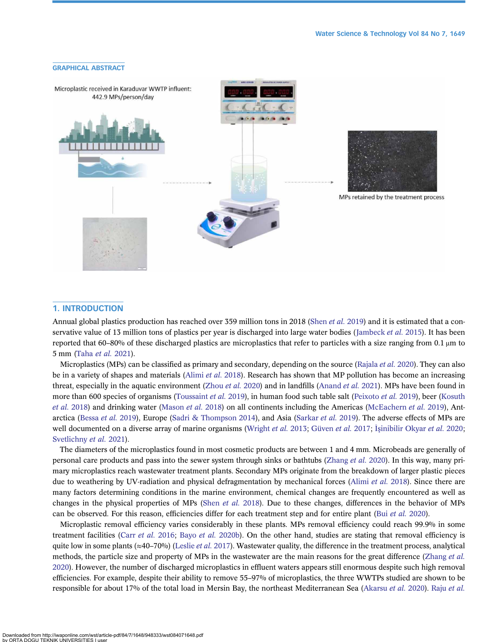

#### 1. INTRODUCTION

Annual global plastics production has reached over 359 million tons in 2018 ([Shen](#page-13-0) *et al.* 2019) and it is estimated that a con-servative value of 13 million tons of plastics per year is discharged into large water bodies ([Jambeck](#page-13-0) et al. 2015). It has been reported that 60–80% of these discharged plastics are microplastics that refer to particles with a size ranging from 0.1 μm to 5 mm [\(Taha](#page-14-0) et al. 2021).

Microplastics (MPs) can be classified as primary and secondary, depending on the source ([Rajala](#page-13-0) et al. 2020). They can also be in a variety of shapes and materials [\(Alimi](#page-12-0) et al. 2018). Research has shown that MP pollution has become an increasing threat, especially in the aquatic environment ([Zhou](#page-14-0) et al. 2020) and in landfills [\(Anand](#page-12-0) et al. 2021). MPs have been found in more than 600 species of organisms [\(Toussaint](#page-14-0) et al. 2019), in human food such table salt ([Peixoto](#page-13-0) et al. 2019), beer ([Kosuth](#page-13-0) et al. [2018\)](#page-13-0) and drinking water [\(Mason](#page-13-0) et al. 2018) on all continents including the Americas ([McEachern](#page-13-0) et al. 2019), Ant-arctica [\(Bessa](#page-12-0) et al. 2019), Europe [\(Sadri & Thompson 2014\)](#page-13-0), and Asia ([Sarkar](#page-13-0) et al. 2019). The adverse effects of MPs are well documented on a diverse array of marine organisms [\(Wright](#page-14-0) et al. 2013; [Güven](#page-12-0) et al. 2017; İşinibilir Okyar et al. 2020; [Svetlichny](#page-14-0) et al. 2021).

The diameters of the microplastics found in most cosmetic products are between 1 and 4 mm. Microbeads are generally of personal care products and pass into the sewer system through sinks or bathtubs [\(Zhang](#page-14-0) et al. 2020). In this way, many primary microplastics reach wastewater treatment plants. Secondary MPs originate from the breakdown of larger plastic pieces due to weathering by UV-radiation and physical defragmentation by mechanical forces ([Alimi](#page-12-0) et al. 2018). Since there are many factors determining conditions in the marine environment, chemical changes are frequently encountered as well as changes in the physical properties of MPs (Shen [et al.](#page-13-0) 2018). Due to these changes, differences in the behavior of MPs can be observed. For this reason, efficiencies differ for each treatment step and for entire plant (Bui [et al.](#page-12-0) 2020).

Microplastic removal efficiency varies considerably in these plants. MPs removal efficiency could reach 99.9% in some treatment facilities (Carr [et al.](#page-12-0) 2016; Bayo et al. [2020b\)](#page-12-0). On the other hand, studies are stating that removal efficiency is quite low in some plants ( $\approx$ 40–70%) ([Leslie](#page-13-0) *et al.* 2017). Wastewater quality, the difference in the treatment process, analytical methods, the particle size and property of MPs in the wastewater are the main reasons for the great difference [\(Zhang](#page-14-0) et al. [2020\)](#page-14-0). However, the number of discharged microplastics in effluent waters appears still enormous despite such high removal efficiencies. For example, despite their ability to remove 55–97% of microplastics, the three WWTPs studied are shown to be responsible for about 17% of the total load in Mersin Bay, the northeast Mediterranean Sea [\(Akarsu](#page-12-0) [et al.](#page-13-0) 2020). Raju et al.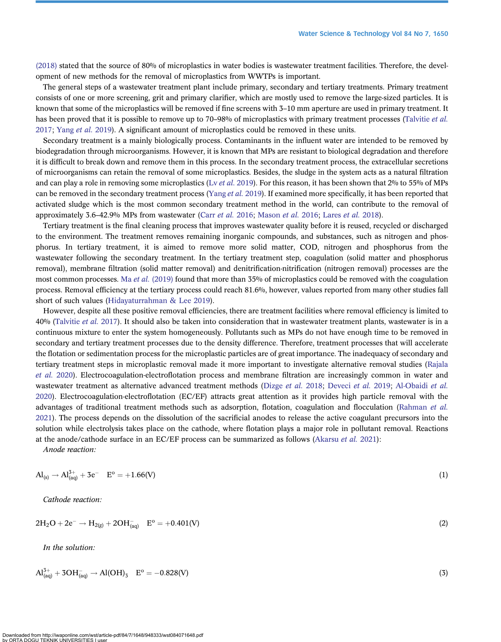[\(2018\)](#page-13-0) stated that the source of 80% of microplastics in water bodies is wastewater treatment facilities. Therefore, the development of new methods for the removal of microplastics from WWTPs is important.

The general steps of a wastewater treatment plant include primary, secondary and tertiary treatments. Primary treatment consists of one or more screening, grit and primary clarifier, which are mostly used to remove the large-sized particles. It is known that some of the microplastics will be removed if fine screens with 3–10 mm aperture are used in primary treatment. It has been proved that it is possible to remove up to 70–98% of microplastics with primary treatment processes ([Talvitie](#page-14-0) et al. [2017](#page-14-0); [Yang](#page-14-0) et al. 2019). A significant amount of microplastics could be removed in these units.

Secondary treatment is a mainly biologically process. Contaminants in the influent water are intended to be removed by biodegradation through microorganisms. However, it is known that MPs are resistant to biological degradation and therefore it is difficult to break down and remove them in this process. In the secondary treatment process, the extracellular secretions of microorganisms can retain the removal of some microplastics. Besides, the sludge in the system acts as a natural filtration and can play a role in removing some microplastics (Ly et al. [2019](#page-13-0)). For this reason, it has been shown that 2% to 55% of MPs can be removed in the secondary treatment process [\(Yang](#page-14-0) et al. 2019). If examined more specifically, it has been reported that activated sludge which is the most common secondary treatment method in the world, can contribute to the removal of approximately 3.6–42.9% MPs from wastewater (Carr [et al.](#page-12-0) 2016; [Mason](#page-13-0) et al. 2016; [Lares](#page-13-0) et al. 2018).

Tertiary treatment is the final cleaning process that improves wastewater quality before it is reused, recycled or discharged to the environment. The treatment removes remaining inorganic compounds, and substances, such as nitrogen and phosphorus. In tertiary treatment, it is aimed to remove more solid matter, COD, nitrogen and phosphorus from the wastewater following the secondary treatment. In the tertiary treatment step, coagulation (solid matter and phosphorus removal), membrane filtration (solid matter removal) and denitrification-nitrification (nitrogen removal) processes are the most common processes. Ma et al. [\(2019\)](#page-13-0) found that more than 35% of microplastics could be removed with the coagulation process. Removal efficiency at the tertiary process could reach 81.6%, however, values reported from many other studies fall short of such values [\(Hidayaturrahman & Lee 2019\)](#page-12-0).

However, despite all these positive removal efficiencies, there are treatment facilities where removal efficiency is limited to 40% [\(Talvitie](#page-14-0) *et al.* 2017). It should also be taken into consideration that in wastewater treatment plants, wastewater is in a continuous mixture to enter the system homogeneously. Pollutants such as MPs do not have enough time to be removed in secondary and tertiary treatment processes due to the density difference. Therefore, treatment processes that will accelerate the flotation or sedimentation process for the microplastic particles are of great importance. The inadequacy of secondary and tertiary treatment steps in microplastic removal made it more important to investigate alternative removal studies [\(Rajala](#page-13-0) [et al.](#page-13-0) 2020). Electrocoagulation-electroflotation process and membrane filtration are increasingly common in water and wastewater treatment as alternative advanced treatment methods ([Dizge](#page-12-0) et al. 2018; [Deveci](#page-12-0) et al. 2019; [Al-Obaidi](#page-12-0) et al. [2020](#page-12-0)). Electrocoagulation-electroflotation (EC/EF) attracts great attention as it provides high particle removal with the advantages of traditional treatment methods such as adsorption, flotation, coagulation and flocculation ([Rahman](#page-13-0) et al. [2021](#page-13-0)). The process depends on the dissolution of the sacrificial anodes to release the active coagulant precursors into the solution while electrolysis takes place on the cathode, where flotation plays a major role in pollutant removal. Reactions at the anode/cathode surface in an EC/EF process can be summarized as follows [\(Akarsu](#page-12-0) et al. 2021):

Anode reaction:

$$
Al_{(s)} \to Al_{(aq)}^{3+} + 3e^- \quad E^o = +1.66(V) \tag{1}
$$

Cathode reaction:

$$
2H_2O + 2e^- \rightarrow H_{2(g)} + 2OH_{(aq)}^- \quad E^o = +0.401(V)
$$
\n(2)

In the solution:

$$
Al_{(aq)}^{3+} + 3OH_{(aq)}^- \to Al(OH)_3 \quad E^o = -0.828(V)
$$
\n(3)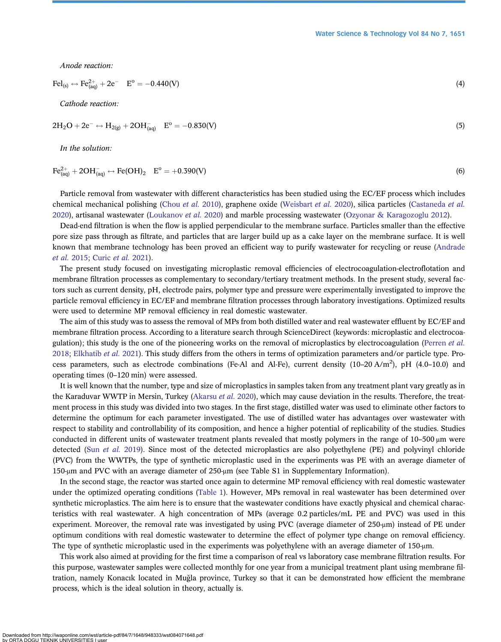Anode reaction:

$$
\text{Fel}_{(s)} \leftrightarrow \text{Fe}_{(aq)}^{2+} + 2e^- \quad E^{\circ} = -0.440(V) \tag{4}
$$

Cathode reaction:

$$
2H_2O + 2e^- \leftrightarrow H_{2(g)} + 2OH_{(aq)}^- \quad E^o = -0.830(V)
$$
\n(5)

In the solution:

$$
\text{Fe}_{\text{(aq)}}^{2+} + 2\text{OH}_{\text{(aq)}} \leftrightarrow \text{Fe(OH)}_{2} \quad \text{E}^{\text{o}} = +0.390(\text{V}) \tag{6}
$$

Particle removal from wastewater with different characteristics has been studied using the EC/EF process which includes chemical mechanical polishing [\(Chou](#page-12-0) et al. 2010), graphene oxide ([Weisbart](#page-14-0) et al. 2020), silica particles [\(Castaneda](#page-12-0) et al. [2020\)](#page-12-0), artisanal wastewater [\(Loukanov](#page-13-0) et al. 2020) and marble processing wastewater ([Ozyonar & Karagozoglu 2012](#page-13-0)).

Dead-end filtration is when the flow is applied perpendicular to the membrane surface. Particles smaller than the effective pore size pass through as filtrate, and particles that are larger build up as a cake layer on the membrane surface. It is well known that membrane technology has been proved an efficient way to purify wastewater for recycling or reuse ([Andrade](#page-12-0) [et al.](#page-12-0) 2015; [Curic](#page-12-0) et al. 2021).

The present study focused on investigating microplastic removal efficiencies of electrocoagulation-electroflotation and membrane filtration processes as complementary to secondary/tertiary treatment methods. In the present study, several factors such as current density, pH, electrode pairs, polymer type and pressure were experimentally investigated to improve the particle removal efficiency in EC/EF and membrane filtration processes through laboratory investigations. Optimized results were used to determine MP removal efficiency in real domestic wastewater.

The aim of this study was to assess the removal of MPs from both distilled water and real wastewater effluent by EC/EF and membrane filtration process. According to a literature search through ScienceDirect (keywords: microplastic and electrocoa-gulation); this study is the one of the pioneering works on the removal of microplastics by electrocoagulation [\(Perren](#page-13-0) et al. [2018;](#page-13-0) [Elkhatib](#page-12-0) et al. 2021). This study differs from the others in terms of optimization parameters and/or particle type. Process parameters, such as electrode combinations (Fe-Al and Al-Fe), current density (10-20 A/m<sup>2</sup>), pH (4.0-10.0) and operating times (0–120 min) were assessed.

It is well known that the number, type and size of microplastics in samples taken from any treatment plant vary greatly as in the Karaduvar WWTP in Mersin, Turkey ([Akarsu](#page-12-0) et al. 2020), which may cause deviation in the results. Therefore, the treatment process in this study was divided into two stages. In the first stage, distilled water was used to eliminate other factors to determine the optimum for each parameter investigated. The use of distilled water has advantages over wastewater with respect to stability and controllability of its composition, and hence a higher potential of replicability of the studies. Studies conducted in different units of wastewater treatment plants revealed that mostly polymers in the range of 10–500 μm were detected (Sun [et al.](#page-14-0) 2019). Since most of the detected microplastics are also polyethylene (PE) and polyvinyl chloride (PVC) from the WWTPs, the type of synthetic microplastic used in the experiments was PE with an average diameter of 150-μm and PVC with an average diameter of 250-μm (see Table S1 in Supplementary Information).

In the second stage, the reactor was started once again to determine MP removal efficiency with real domestic wastewater under the optimized operating conditions [\(Table 1\)](#page-4-0). However, MPs removal in real wastewater has been determined over synthetic microplastics. The aim here is to ensure that the wastewater conditions have exactly physical and chemical characteristics with real wastewater. A high concentration of MPs (average 0.2 particles/mL PE and PVC) was used in this experiment. Moreover, the removal rate was investigated by using PVC (average diameter of 250-μm) instead of PE under optimum conditions with real domestic wastewater to determine the effect of polymer type change on removal efficiency. The type of synthetic microplastic used in the experiments was polyethylene with an average diameter of 150-μm.

This work also aimed at providing for the first time a comparison of real vs laboratory case membrane filtration results. For this purpose, wastewater samples were collected monthly for one year from a municipal treatment plant using membrane filtration, namely Konacık located in Muğla province, Turkey so that it can be demonstrated how efficient the membrane process, which is the ideal solution in theory, actually is.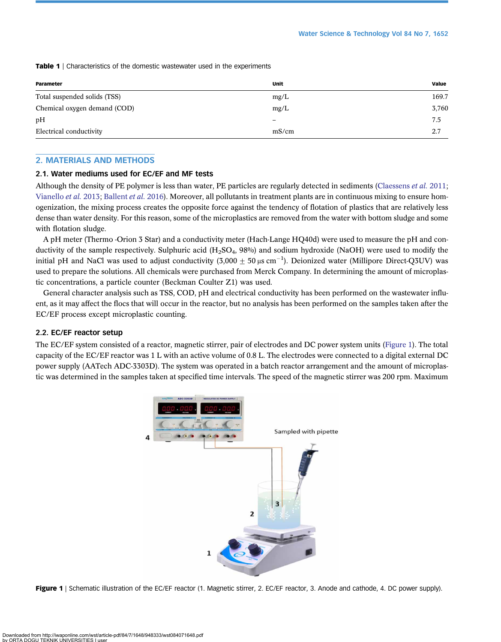<span id="page-4-0"></span>Table 1 | Characteristics of the domestic wastewater used in the experiments

| Parameter                    | Unit  | Value |
|------------------------------|-------|-------|
| Total suspended solids (TSS) | mg/L  | 169.7 |
| Chemical oxygen demand (COD) | mg/L  | 3,760 |
| pH                           | -     | 7.5   |
| Electrical conductivity      | mS/cm | 2.7   |

#### 2. MATERIALS AND METHODS

#### 2.1. Water mediums used for EC/EF and MF tests

Although the density of PE polymer is less than water, PE particles are regularly detected in sediments [\(Claessens](#page-12-0) *et al.* 2011; [Vianello](#page-14-0) et al. 2013; [Ballent](#page-12-0) et al. 2016). Moreover, all pollutants in treatment plants are in continuous mixing to ensure homogenization, the mixing process creates the opposite force against the tendency of flotation of plastics that are relatively less dense than water density. For this reason, some of the microplastics are removed from the water with bottom sludge and some with flotation sludge.

A pH meter (Thermo -Orion 3 Star) and a conductivity meter (Hach-Lange HQ40d) were used to measure the pH and conductivity of the sample respectively. Sulphuric acid  $(H_2SO_4, 98\%)$  and sodium hydroxide (NaOH) were used to modify the initial pH and NaCl was used to adjust conductivity (3,000  $\pm$  50 µs cm<sup>-1</sup>). Deionized water (Millipore Direct-Q3UV) was used to prepare the solutions. All chemicals were purchased from Merck Company. In determining the amount of microplastic concentrations, a particle counter (Beckman Coulter Z1) was used.

General character analysis such as TSS, COD, pH and electrical conductivity has been performed on the wastewater influent, as it may affect the flocs that will occur in the reactor, but no analysis has been performed on the samples taken after the EC/EF process except microplastic counting.

#### 2.2. EC/EF reactor setup

The EC/EF system consisted of a reactor, magnetic stirrer, pair of electrodes and DC power system units (Figure 1). The total capacity of the EC/EF reactor was 1 L with an active volume of 0.8 L. The electrodes were connected to a digital external DC power supply (AATech ADC-3303D). The system was operated in a batch reactor arrangement and the amount of microplastic was determined in the samples taken at specified time intervals. The speed of the magnetic stirrer was 200 rpm. Maximum



Figure 1 | Schematic illustration of the EC/EF reactor (1. Magnetic stirrer, 2. EC/EF reactor, 3. Anode and cathode, 4. DC power supply).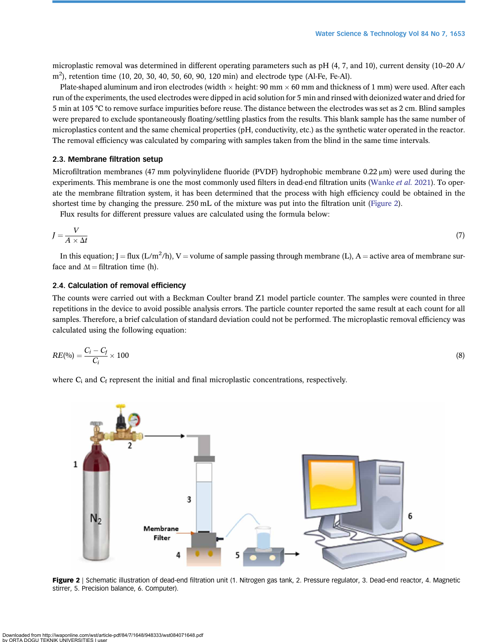microplastic removal was determined in different operating parameters such as pH (4, 7, and 10), current density (10–20 A/ m<sup>2</sup>), retention time (10, 20, 30, 40, 50, 60, 90, 120 min) and electrode type (Al-Fe, Fe-Al).

Plate-shaped aluminum and iron electrodes (width  $\times$  height: 90 mm  $\times$  60 mm and thickness of 1 mm) were used. After each run of the experiments, the used electrodes were dipped in acid solution for 5 min and rinsed with deionized water and dried for 5 min at 105 °C to remove surface impurities before reuse. The distance between the electrodes was set as 2 cm. Blind samples were prepared to exclude spontaneously floating/settling plastics from the results. This blank sample has the same number of microplastics content and the same chemical properties (pH, conductivity, etc.) as the synthetic water operated in the reactor. The removal efficiency was calculated by comparing with samples taken from the blind in the same time intervals.

#### 2.3. Membrane filtration setup

Microfiltration membranes (47 mm polyvinylidene fluoride (PVDF) hydrophobic membrane 0.22 μm) were used during the experiments. This membrane is one the most commonly used filters in dead-end filtration units [\(Wanke](#page-14-0) et al. 2021). To operate the membrane filtration system, it has been determined that the process with high efficiency could be obtained in the shortest time by changing the pressure. 250 mL of the mixture was put into the filtration unit (Figure 2).

Flux results for different pressure values are calculated using the formula below:

$$
J = \frac{V}{A \times \Delta t} \tag{7}
$$

In this equation; J = flux (L/m<sup>2</sup>/h), V = volume of sample passing through membrane (L), A = active area of membrane surface and  $\Delta t$  = filtration time (h).

#### 2.4. Calculation of removal efficiency

The counts were carried out with a Beckman Coulter brand Z1 model particle counter. The samples were counted in three repetitions in the device to avoid possible analysis errors. The particle counter reported the same result at each count for all samples. Therefore, a brief calculation of standard deviation could not be performed. The microplastic removal efficiency was calculated using the following equation:

$$
RE(^{0}_{0}) = \frac{C_i - C_f}{C_i} \times 100
$$
\n
$$
(8)
$$

where  $C_i$  and  $C_f$  represent the initial and final microplastic concentrations, respectively.



Figure 2 | Schematic illustration of dead-end filtration unit (1. Nitrogen gas tank, 2. Pressure regulator, 3. Dead-end reactor, 4. Magnetic stirrer, 5. Precision balance, 6. Computer).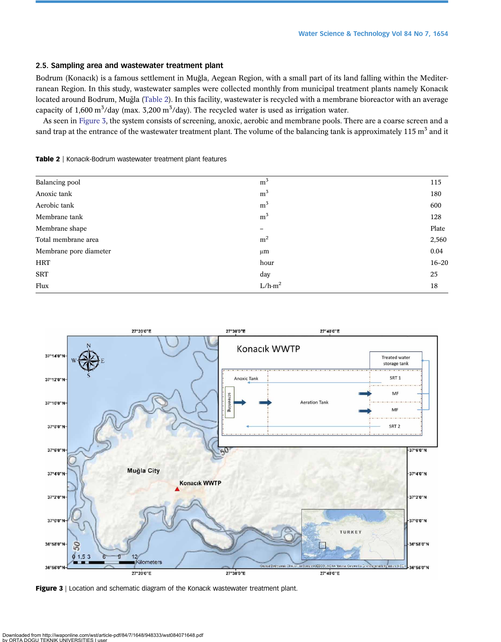# 2.5. Sampling area and wastewater treatment plant

Bodrum (Konacık) is a famous settlement in Muğ la, Aegean Region, with a small part of its land falling within the Mediterranean Region. In this study, wastewater samples were collected monthly from municipal treatment plants namely Konacık located around Bodrum, Muğ la (Table 2). In this facility, wastewater is recycled with a membrane bioreactor with an average capacity of 1,600 m<sup>3</sup>/day (max. 3,200 m<sup>3</sup>/day). The recycled water is used as irrigation water.

As seen in Figure 3, the system consists of screening, anoxic, aerobic and membrane pools. There are a coarse screen and a sand trap at the entrance of the wastewater treatment plant. The volume of the balancing tank is approximately  $115 \text{ m}^3$  and it

Table 2 | Konacık-Bodrum wastewater treatment plant features

| Balancing pool         | m <sup>3</sup> | 115       |
|------------------------|----------------|-----------|
| Anoxic tank            | m <sup>3</sup> | 180       |
| Aerobic tank           | m <sup>3</sup> | 600       |
| Membrane tank          | m <sup>3</sup> | 128       |
| Membrane shape         | -              | Plate     |
| Total membrane area    | m <sup>2</sup> | 2,560     |
| Membrane pore diameter | $\mu$ m        | 0.04      |
| <b>HRT</b>             | hour           | $16 - 20$ |
| <b>SRT</b>             | day            | 25        |
| Flux                   | $L/h-m2$       | 18        |



Figure 3 | Location and schematic diagram of the Konacık wastewater treatment plant.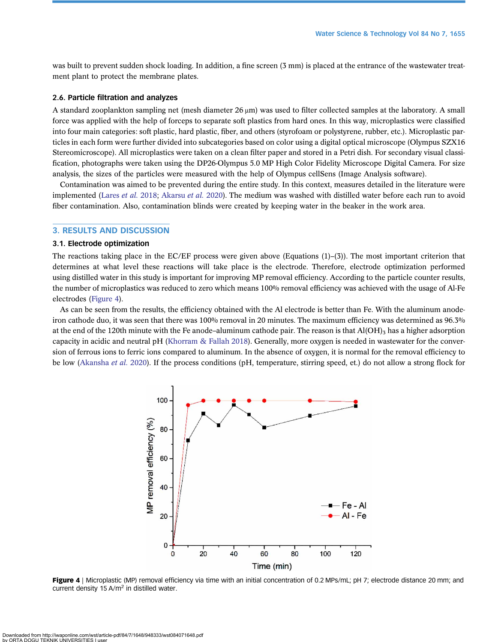was built to prevent sudden shock loading. In addition, a fine screen (3 mm) is placed at the entrance of the wastewater treatment plant to protect the membrane plates.

#### 2.6. Particle filtration and analyzes

A standard zooplankton sampling net (mesh diameter 26 μm) was used to filter collected samples at the laboratory. A small force was applied with the help of forceps to separate soft plastics from hard ones. In this way, microplastics were classified into four main categories: soft plastic, hard plastic, fiber, and others (styrofoam or polystyrene, rubber, etc.). Microplastic particles in each form were further divided into subcategories based on color using a digital optical microscope (Olympus SZX16 Stereomicroscope). All microplastics were taken on a clean filter paper and stored in a Petri dish. For secondary visual classification, photographs were taken using the DP26-Olympus 5.0 MP High Color Fidelity Microscope Digital Camera. For size analysis, the sizes of the particles were measured with the help of Olympus cellSens (Image Analysis software).

Contamination was aimed to be prevented during the entire study. In this context, measures detailed in the literature were implemented ([Lares](#page-13-0) et al. 2018; [Akarsu](#page-12-0) et al. 2020). The medium was washed with distilled water before each run to avoid fiber contamination. Also, contamination blinds were created by keeping water in the beaker in the work area.

#### 3. RESULTS AND DISCUSSION

#### 3.1. Electrode optimization

The reactions taking place in the EC/EF process were given above (Equations  $(1)$ –(3)). The most important criterion that determines at what level these reactions will take place is the electrode. Therefore, electrode optimization performed using distilled water in this study is important for improving MP removal efficiency. According to the particle counter results, the number of microplastics was reduced to zero which means 100% removal efficiency was achieved with the usage of Al-Fe electrodes (Figure 4).

As can be seen from the results, the efficiency obtained with the Al electrode is better than Fe. With the aluminum anodeiron cathode duo, it was seen that there was 100% removal in 20 minutes. The maximum efficiency was determined as 96.3% at the end of the 120th minute with the Fe anode–aluminum cathode pair. The reason is that  $Al(OH)$ <sub>3</sub> has a higher adsorption capacity in acidic and neutral pH [\(Khorram & Fallah 2018\)](#page-13-0). Generally, more oxygen is needed in wastewater for the conversion of ferrous ions to ferric ions compared to aluminum. In the absence of oxygen, it is normal for the removal efficiency to be low [\(Akansha](#page-12-0) et al. 2020). If the process conditions (pH, temperature, stirring speed, et.) do not allow a strong flock for



Figure 4 | Microplastic (MP) removal efficiency via time with an initial concentration of 0.2 MPs/mL; pH 7; electrode distance 20 mm; and current density 15 A/ $m<sup>2</sup>$  in distilled water.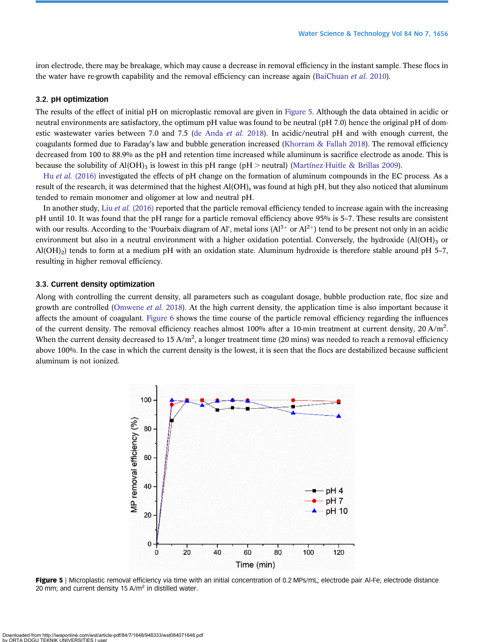iron electrode, there may be breakage, which may cause a decrease in removal efficiency in the instant sample. These flocs in the water have re-growth capability and the removal efficiency can increase again ([BaiChuan](#page-12-0) et al. 2010).

#### 3.2. pH optimization

The results of the effect of initial pH on microplastic removal are given in Figure 5. Although the data obtained in acidic or neutral environments are satisfactory, the optimum pH value was found to be neutral (pH 7.0) hence the original pH of domestic wastewater varies between 7.0 and 7.5 ([de Anda](#page-12-0) *et al.* 2018). In acidic/neutral pH and with enough current, the coagulants formed due to Faraday's law and bubble generation increased [\(Khorram & Fallah 2018\)](#page-13-0). The removal efficiency decreased from 100 to 88.9% as the pH and retention time increased while aluminum is sacrifice electrode as anode. This is because the solubility of Al(OH)<sub>3</sub> is lowest in this pH range (pH > neutral) [\(Martínez-Huitle & Brillas 2009\)](#page-13-0).

Hu et al. [\(2016\)](#page-12-0) investigated the effects of pH change on the formation of aluminum compounds in the EC process. As a result of the research, it was determined that the highest Al(OH)<sub>s</sub> was found at high pH, but they also noticed that aluminum tended to remain monomer and oligomer at low and neutral pH.

In another study, Liu et al. [\(2016\)](#page-13-0) reported that the particle removal efficiency tended to increase again with the increasing pH until 10. It was found that the pH range for a particle removal efficiency above 95% is 5–7. These results are consistent with our results. According to the 'Pourbaix diagram of Al', metal ions  $(AI^{3+}$  or  $AI^{2+})$  tend to be present not only in an acidic environment but also in a neutral environment with a higher oxidation potential. Conversely, the hydroxide  $(A(OH)<sub>3</sub>$  or Al(OH)<sub>2</sub>) tends to form at a medium pH with an oxidation state. Aluminum hydroxide is therefore stable around pH 5-7, resulting in higher removal efficiency.

#### 3.3. Current density optimization

Along with controlling the current density, all parameters such as coagulant dosage, bubble production rate, floc size and growth are controlled ([Omwene](#page-13-0) *et al.* 2018). At the high current density, the application time is also important because it affects the amount of coagulant. [Figure 6](#page-9-0) shows the time course of the particle removal efficiency regarding the influences of the current density. The removal efficiency reaches almost 100% after a 10-min treatment at current density, 20 A/m<sup>2</sup>. When the current density decreased to  $15 \text{ A/m}^2$ , a longer treatment time (20 mins) was needed to reach a removal efficiency above 100%. In the case in which the current density is the lowest, it is seen that the flocs are destabilized because sufficient aluminum is not ionized.



Figure 5 | Microplastic removal efficiency via time with an initial concentration of 0.2 MPs/mL; electrode pair Al-Fe; electrode distance 20 mm; and current density 15 A/m<sup>2</sup> in distilled water.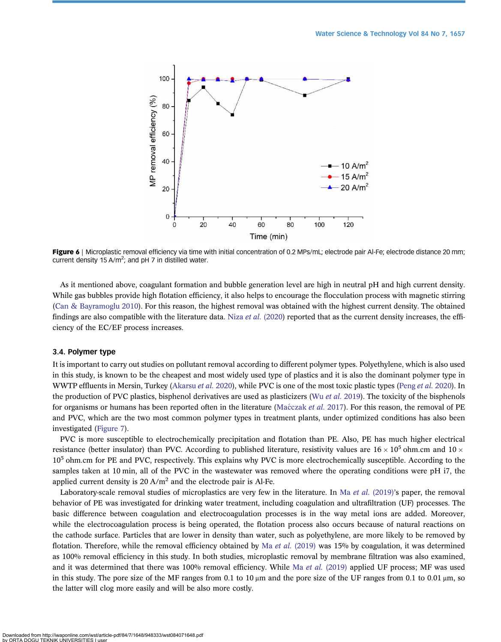<span id="page-9-0"></span>

Figure 6 | Microplastic removal efficiency via time with initial concentration of 0.2 MPs/mL; electrode pair Al-Fe; electrode distance 20 mm; current density 15 A/m<sup>2</sup>; and pH 7 in distilled water.

As it mentioned above, coagulant formation and bubble generation level are high in neutral pH and high current density. While gas bubbles provide high flotation efficiency, it also helps to encourage the flocculation process with magnetic stirring [\(Can & Bayramoglu 2010](#page-12-0)). For this reason, the highest removal was obtained with the highest current density. The obtained findings are also compatible with the literature data. Niza *et al.* [\(2020\)](#page-13-0) reported that as the current density increases, the efficiency of the EC/EF process increases.

#### 3.4. Polymer type

It is important to carry out studies on pollutant removal according to different polymer types. Polyethylene, which is also used in this study, is known to be the cheapest and most widely used type of plastics and it is also the dominant polymer type in WWTP effluents in Mersin, Turkey ([Akarsu](#page-12-0) et al. 2020), while PVC is one of the most toxic plastic types ([Peng](#page-13-0) et al. 2020). In the production of PVC plastics, bisphenol derivatives are used as plasticizers (Wu et al. [2019\)](#page-14-0). The toxicity of the bisphenols for organisms or humans has been reported often in the literature (Maćczak *[et al.](#page-13-0)* 2017). For this reason, the removal of PE and PVC, which are the two most common polymer types in treatment plants, under optimized conditions has also been investigated ([Figure 7](#page-10-0)).

PVC is more susceptible to electrochemically precipitation and flotation than PE. Also, PE has much higher electrical resistance (better insulator) than PVC. According to published literature, resistivity values are  $16 \times 10^5$  ohm.cm and  $10 \times$ 10<sup>5</sup> ohm.cm for PE and PVC, respectively. This explains why PVC is more electrochemically susceptible. According to the samples taken at 10 min, all of the PVC in the wastewater was removed where the operating conditions were pH i7, the applied current density is  $20 \text{ A/m}^2$  and the electrode pair is Al-Fe.

Laboratory-scale removal studies of microplastics are very few in the literature. In Ma et al. [\(2019\)](#page-13-0)'s paper, the removal behavior of PE was investigated for drinking water treatment, including coagulation and ultrafiltration (UF) processes. The basic difference between coagulation and electrocoagulation processes is in the way metal ions are added. Moreover, while the electrocoagulation process is being operated, the flotation process also occurs because of natural reactions on the cathode surface. Particles that are lower in density than water, such as polyethylene, are more likely to be removed by flotation. Therefore, while the removal efficiency obtained by Ma et al. [\(2019\)](#page-13-0) was 15% by coagulation, it was determined as 100% removal efficiency in this study. In both studies, microplastic removal by membrane filtration was also examined, and it was determined that there was 100% removal efficiency. While Ma et al. [\(2019\)](#page-13-0) applied UF process; MF was used in this study. The pore size of the MF ranges from 0.1 to 10  $\mu$ m and the pore size of the UF ranges from 0.1 to 0.01  $\mu$ m, so the latter will clog more easily and will be also more costly.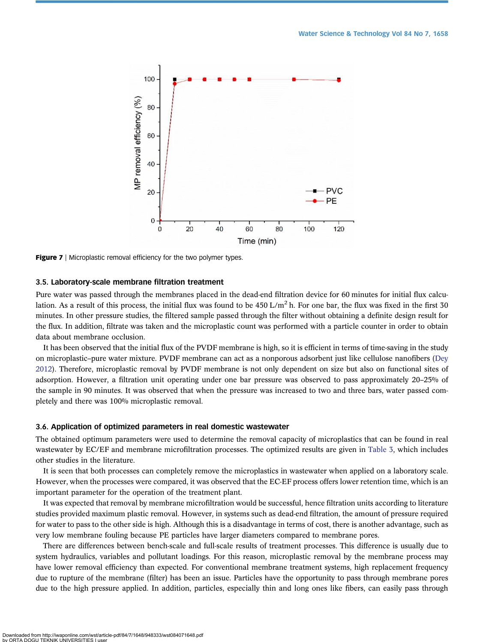<span id="page-10-0"></span>

Figure 7 | Microplastic removal efficiency for the two polymer types.

#### 3.5. Laboratory-scale membrane filtration treatment

Pure water was passed through the membranes placed in the dead-end filtration device for 60 minutes for initial flux calculation. As a result of this process, the initial flux was found to be  $450 \text{ L/m}^2$  h. For one bar, the flux was fixed in the first 30 minutes. In other pressure studies, the filtered sample passed through the filter without obtaining a definite design result for the flux. In addition, filtrate was taken and the microplastic count was performed with a particle counter in order to obtain data about membrane occlusion.

It has been observed that the initial flux of the PVDF membrane is high, so it is efficient in terms of time-saving in the study on microplastic–pure water mixture. PVDF membrane can act as a nonporous adsorbent just like cellulose nanofibers [\(Dey](#page-12-0) [2012](#page-12-0)). Therefore, microplastic removal by PVDF membrane is not only dependent on size but also on functional sites of adsorption. However, a filtration unit operating under one bar pressure was observed to pass approximately 20–25% of the sample in 90 minutes. It was observed that when the pressure was increased to two and three bars, water passed completely and there was 100% microplastic removal.

#### 3.6. Application of optimized parameters in real domestic wastewater

The obtained optimum parameters were used to determine the removal capacity of microplastics that can be found in real wastewater by EC/EF and membrane microfiltration processes. The optimized results are given in [Table 3](#page-11-0), which includes other studies in the literature.

It is seen that both processes can completely remove the microplastics in wastewater when applied on a laboratory scale. However, when the processes were compared, it was observed that the EC-EF process offers lower retention time, which is an important parameter for the operation of the treatment plant.

It was expected that removal by membrane microfiltration would be successful, hence filtration units according to literature studies provided maximum plastic removal. However, in systems such as dead-end filtration, the amount of pressure required for water to pass to the other side is high. Although this is a disadvantage in terms of cost, there is another advantage, such as very low membrane fouling because PE particles have larger diameters compared to membrane pores.

There are differences between bench-scale and full-scale results of treatment processes. This difference is usually due to system hydraulics, variables and pollutant loadings. For this reason, microplastic removal by the membrane process may have lower removal efficiency than expected. For conventional membrane treatment systems, high replacement frequency due to rupture of the membrane (filter) has been an issue. Particles have the opportunity to pass through membrane pores due to the high pressure applied. In addition, particles, especially thin and long ones like fibers, can easily pass through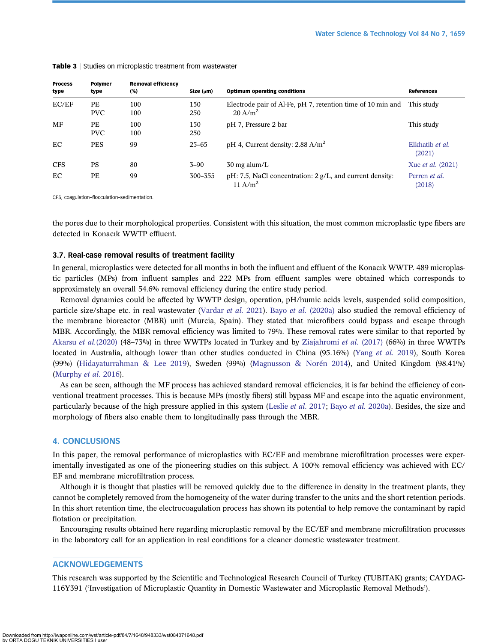| <b>Process</b><br>type | Polymer<br>type         | <b>Removal efficiency</b><br>(%) | Size (µm)  | <b>Optimum operating conditions</b>                                                   | <b>References</b>              |
|------------------------|-------------------------|----------------------------------|------------|---------------------------------------------------------------------------------------|--------------------------------|
| EC/EF                  | <b>PE</b><br><b>PVC</b> | 100<br>100                       | 150<br>250 | Electrode pair of Al-Fe, pH 7, retention time of 10 min and<br>$20 \text{ A/m}^2$     | This study                     |
| MF                     | PE<br><b>PVC</b>        | 100<br>100                       | 150<br>250 | pH 7, Pressure 2 bar                                                                  | This study                     |
| EC                     | <b>PES</b>              | 99                               | $25 - 65$  | pH 4, Current density: $2.88 \text{ A/m}^2$                                           | Elkhatib et al.<br>(2021)      |
| <b>CFS</b>             | <b>PS</b>               | 80                               | $3 - 90$   | $30 \text{ mg}$ alum/L                                                                | Xue <i>et al.</i> (2021)       |
| EC                     | PE                      | 99                               | 300-355    | $pH: 7.5$ , NaCl concentration: $2 g/L$ , and current density:<br>11 A/m <sup>2</sup> | Perren <i>et al.</i><br>(2018) |

#### <span id="page-11-0"></span>Table 3 | Studies on microplastic treatment from wastewater

CFS, coagulation–flocculation–sedimentation.

the pores due to their morphological properties. Consistent with this situation, the most common microplastic type fibers are detected in Konacık WWTP effluent.

### 3.7. Real-case removal results of treatment facility

In general, microplastics were detected for all months in both the influent and effluent of the Konacık WWTP. 489 microplastic particles (MPs) from influent samples and 222 MPs from effluent samples were obtained which corresponds to approximately an overall 54.6% removal efficiency during the entire study period.

Removal dynamics could be affected by WWTP design, operation, pH/humic acids levels, suspended solid composition, particle size/shape etc. in real wastewater [\(Vardar](#page-14-0) et al. 2021). Bayo et al. [\(2020a\)](#page-12-0) also studied the removal efficiency of the membrane bioreactor (MBR) unit (Murcia, Spain). They stated that microfibers could bypass and escape through MBR. Accordingly, the MBR removal efficiency was limited to 79%. These removal rates were similar to that reported by [Akarsu](#page-12-0) et al.(2020) (48–73%) in three WWTPs located in Turkey and by [Ziajahromi](#page-14-0) et al. (2017) (66%) in three WWTPs located in Australia, although lower than other studies conducted in China (95.16%) (Yang [et al.](#page-14-0) 2019), South Korea (99%) [\(Hidayaturrahman & Lee 2019](#page-12-0)), Sweden (99%) [\(Magnusson & Norén 2014](#page-13-0)), and United Kingdom (98.41%) [\(Murphy](#page-13-0) et al. 2016).

As can be seen, although the MF process has achieved standard removal efficiencies, it is far behind the efficiency of conventional treatment processes. This is because MPs (mostly fibers) still bypass MF and escape into the aquatic environment, particularly because of the high pressure applied in this system ([Leslie](#page-13-0) et al. 2017; Bayo et al. [2020a\)](#page-12-0). Besides, the size and morphology of fibers also enable them to longitudinally pass through the MBR.

## 4. CONCLUSIONS

In this paper, the removal performance of microplastics with EC/EF and membrane microfiltration processes were experimentally investigated as one of the pioneering studies on this subject. A 100% removal efficiency was achieved with EC/ EF and membrane microfiltration process.

Although it is thought that plastics will be removed quickly due to the difference in density in the treatment plants, they cannot be completely removed from the homogeneity of the water during transfer to the units and the short retention periods. In this short retention time, the electrocoagulation process has shown its potential to help remove the contaminant by rapid flotation or precipitation.

Encouraging results obtained here regarding microplastic removal by the EC/EF and membrane microfiltration processes in the laboratory call for an application in real conditions for a cleaner domestic wastewater treatment.

#### ACKNOWLEDGEMENTS

This research was supported by the Scientific and Technological Research Council of Turkey (TUBITAK) grants; CAYDAG-116Y391 ('Investigation of Microplastic Quantity in Domestic Wastewater and Microplastic Removal Methods').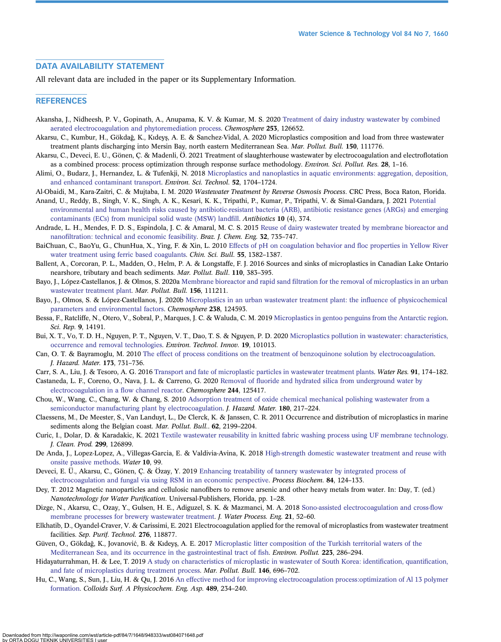# <span id="page-12-0"></span>DATA AVAILABILITY STATEMENT

All relevant data are included in the paper or its Supplementary Information.

#### **REFERENCES**

- Akansha, J., Nidheesh, P. V., Gopinath, A., Anupama, K. V. & Kumar, M. S. 2020 [Treatment of dairy industry wastewater by combined](http://dx.doi.org/10.1016/j.chemosphere.2020.126652) [aerated electrocoagulation and phytoremediation process.](http://dx.doi.org/10.1016/j.chemosphere.2020.126652) Chemosphere 253, 126652.
- Akarsu, C., Kumbur, H., Gökdağ, K., Kıdeys, A. E. & Sanchez-Vidal, A. 2020 Microplastics composition and load from three wastewater ̧ treatment plants discharging into Mersin Bay, north eastern Mediterranean Sea. Mar. Pollut. Bull. 150, 111776.
- Akarsu, C., Deveci, E. U., Gönen, Ç. & Madenli, Ö. 2021 Treatment of slaughterhouse wastewater by electrocoagulation and electroflotation as a combined process: process optimization through response surface methodology. Environ. Sci. Pollut. Res. 28, 1–16.
- Alimi, O., Budarz, J., Hernandez, L. & Tufenkji, N. 2018 [Microplastics and nanoplastics in aquatic environments: aggregation, deposition,](http://dx.doi.org/10.1021/acs.est.7b05559) [and enhanced contaminant transport](http://dx.doi.org/10.1021/acs.est.7b05559). Environ. Sci. Technol. 52, 1704–1724.
- Al-Obaidi, M., Kara-Zaitri, C. & Mujtaba, I. M. 2020 Wastewater Treatment by Reverse Osmosis Process. CRC Press, Boca Raton, Florida.
- Anand, U., Reddy, B., Singh, V. K., Singh, A. K., Kesari, K. K., Tripathi, P., Kumar, P., Tripathi, V. & Simal-Gandara, J. 2021 [Potential](http://dx.doi.org/10.3390/antibiotics10040374) [environmental and human health risks caused by antibiotic-resistant bacteria \(ARB\), antibiotic resistance genes \(ARGs\) and emerging](http://dx.doi.org/10.3390/antibiotics10040374) [contaminants \(ECs\) from municipal solid waste \(MSW\) land](http://dx.doi.org/10.3390/antibiotics10040374)fill. Antibiotics 10 (4), 374.
- Andrade, L. H., Mendes, F. D. S., Espindola, J. C. & Amaral, M. C. S. 2015 [Reuse of dairy wastewater treated by membrane bioreactor and](http://dx.doi.org/10.1590/0104-6632.20150323s00003133) nanofi[ltration: technical and economic feasibility](http://dx.doi.org/10.1590/0104-6632.20150323s00003133). Braz. J. Chem. Eng. 32, 735–747.
- BaiChuan, C., BaoYu, G., ChunHua, X., Ying, F. & Xin, L. 2010 [Effects of pH on coagulation behavior and](http://dx.doi.org/10.1007/s11434-010-0087-5) floc properties in Yellow River [water treatment using ferric based coagulants](http://dx.doi.org/10.1007/s11434-010-0087-5). *Chin. Sci. Bull.* 55, 1382–1387.
- Ballent, A., Corcoran, P. L., Madden, O., Helm, P. A. & Longstaffe, F. J. 2016 Sources and sinks of microplastics in Canadian Lake Ontario nearshore, tributary and beach sediments. Mar. Pollut. Bull. 110, 383–395.
- Bayo, J., López-Castellanos, J. & Olmos, S. 2020a Membrane bioreactor and rapid sand fi[ltration for the removal of microplastics in an urban](http://dx.doi.org/10.1016/j.marpolbul.2020.111211) [wastewater treatment plant.](http://dx.doi.org/10.1016/j.marpolbul.2020.111211) Mar. Pollut. Bull. 156, 111211.
- Bayo, J., Olmos, S. & López-Castellanos, J. 2020b [Microplastics in an urban wastewater treatment plant: the in](http://dx.doi.org/10.1016/j.chemosphere.2019.124593)fluence of physicochemical [parameters and environmental factors](http://dx.doi.org/10.1016/j.chemosphere.2019.124593). Chemosphere 238, 124593.
- Bessa, F., Ratcliffe, N., Otero, V., Sobral, P., Marques, J. C. & Waluda, C. M. 2019 [Microplastics in gentoo penguins from the Antarctic region](http://dx.doi.org/10.1038/s41598-019-50621-2). Sci. Rep. 9, 14191.
- Bui, X. T., Vo, T. D. H., Nguyen, P. T., Nguyen, V. T., Dao, T. S. & Nguyen, P. D. 2020 [Microplastics pollution in wastewater: characteristics,](http://dx.doi.org/10.1016/j.eti.2020.101013) [occurrence and removal technologies](http://dx.doi.org/10.1016/j.eti.2020.101013). Environ. Technol. Innov. 19, 101013.
- Can, O. T. & Bayramoglu, M. 2010 [The effect of process conditions on the treatment of benzoquinone solution by electrocoagulation.](http://dx.doi.org/10.1016/j.jhazmat.2009.08.146) J. Hazard. Mater. 173, 731–736.
- Carr, S. A., Liu, J. & Tesoro, A. G. 2016 [Transport and fate of microplastic particles in wastewater treatment plants.](http://dx.doi.org/10.1016/j.watres.2016.01.002) Water Res. 91, 174–182.
- Castaneda, L. F., Coreno, O., Nava, J. L. & Carreno, G. 2020 Removal of fl[uoride and hydrated silica from underground water by](http://dx.doi.org/10.1016/j.chemosphere.2019.125417) [electrocoagulation in a](http://dx.doi.org/10.1016/j.chemosphere.2019.125417) flow channel reactor. Chemosphere 244, 125417.
- Chou, W., Wang, C., Chang, W. & Chang, S. 2010 [Adsorption treatment of oxide chemical mechanical polishing wastewater from a](http://dx.doi.org/10.1016/j.jhazmat.2010.04.017) [semiconductor manufacturing plant by electrocoagulation.](http://dx.doi.org/10.1016/j.jhazmat.2010.04.017) *J. Hazard. Mater.* 180, 217–224.
- Claessens, M., De Meester, S., Van Landuyt, L., De Clerck, K. & Janssen, C. R. 2011 Occurrence and distribution of microplastics in marine sediments along the Belgian coast. Mar. Pollut. Bull.. 62, 2199–2204.
- Curic, I., Dolar, D. & Karadakic, K. 2021 [Textile wastewater reusability in knitted fabric washing process using UF membrane technology.](http://dx.doi.org/10.1016/j.jclepro.2021.126899) J. Clean. Prod. 299, 126899.
- De Anda, J., Lopez-Lopez, A., Villegas-Garcia, E. & Valdivia-Avina, K. 2018 [High-strength domestic wastewater treatment and reuse with](http://dx.doi.org/10.3390/w10020099) [onsite passive methods.](http://dx.doi.org/10.3390/w10020099) Water 10, 99.
- Deveci, E. Ü., Akarsu, C., Gönen, Ç. & Özay, Y. 2019 [Enhancing treatability of tannery wastewater by integrated process of](http://dx.doi.org/10.1016/j.procbio.2019.06.016) [electrocoagulation and fungal via using RSM in an economic perspective.](http://dx.doi.org/10.1016/j.procbio.2019.06.016) Process Biochem. 84, 124–133.
- Dey, T. 2012 Magnetic nanoparticles and cellulosic nanofibers to remove arsenic and other heavy metals from water. In: Day, T. (ed.) Nanotechnology for Water Purification. Universal-Publishers, Florida, pp. 1–28.
- Dizge, N., Akarsu, C., Ozay, Y., Gulsen, H. E., Adiguzel, S. K. & Mazmanci, M. A. 2018 [Sono-assisted electrocoagulation and cross-](http://dx.doi.org/10.1016/j.jwpe.2017.11.016)flow [membrane processes for brewery wastewater treatment.](http://dx.doi.org/10.1016/j.jwpe.2017.11.016) J. Water Process. Eng. 21, 52–60.
- Elkhatib, D., Oyandel-Craver, V. & Carissimi, E. 2021 Electrocoagulation applied for the removal of microplastics from wastewater treatment facilities. Sep. Purif. Technol. 276, 118877.
- Güven, O., Gökdağ, K., Jovanović, B. & Kıdeyş, A. E. 2017 [Microplastic litter composition of the Turkish territorial waters of the](http://dx.doi.org/10.1016/j.envpol.2017.01.025) [Mediterranean Sea, and its occurrence in the gastrointestinal tract of](http://dx.doi.org/10.1016/j.envpol.2017.01.025) fish. Environ. Pollut. 223, 286–294.
- Hidayaturrahman, H. & Lee, T. 2019 [A study on characteristics of microplastic in wastewater of South Korea: identi](http://dx.doi.org/10.1016/j.marpolbul.2019.06.071)fication, quantification, [and fate of microplastics during treatment process](http://dx.doi.org/10.1016/j.marpolbul.2019.06.071). Mar. Pollut. Bull. 146, 696–702.
- Hu, C., Wang, S., Sun, J., Liu, H. & Qu, J. 2016 [An effective method for improving electrocoagulation process:optimization of Al 13 polymer](http://dx.doi.org/10.1016/j.colsurfa.2015.10.063) [formation.](http://dx.doi.org/10.1016/j.colsurfa.2015.10.063) Colloids Surf. A Physicochem. Eng. Asp. 489, 234–240.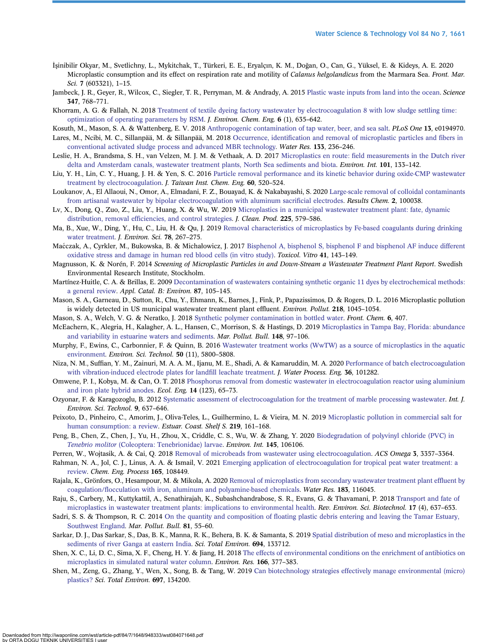- <span id="page-13-0"></span>İşinibilir Okyar, M., Svetlichny, L., Mykitchak, T., Türkeri, E. E., Eryalçın, K. M., Doğan, O., Can, G., Yüksel, E. & Kideys, A. E. 2020 Microplastic consumption and its effect on respiration rate and motility of Calanus helgolandicus from the Marmara Sea. Front. Mar. Sci. 7 (603321), 1–15.
- Jambeck, J. R., Geyer, R., Wilcox, C., Siegler, T. R., Perryman, M. & Andrady, A. 2015 [Plastic waste inputs from land into the ocean](http://dx.doi.org/10.1126/science.1260352). Science 347, 768–771.
- Khorram, A. G. & Fallah, N. 2018 [Treatment of textile dyeing factory wastewater by electrocoagulation 8 with low sludge settling time:](http://dx.doi.org/10.1016/j.jece.2017.12.054) [optimization of operating parameters by RSM](http://dx.doi.org/10.1016/j.jece.2017.12.054). J. Environ. Chem. Eng. 6 (1), 635–642.
- Kosuth, M., Mason, S. A. & Wattenberg, E. V. 2018 [Anthropogenic contamination of tap water, beer, and sea salt.](http://dx.doi.org/10.1371/journal.pone.0194970) PLoS One 13, e0194970.
- Lares, M., Ncibi, M. C., Sillanpää, M. & Sillanpää, M. 2018 Occurrence, identifi[cation and removal of microplastic particles and](http://dx.doi.org/10.1016/j.watres.2018.01.049) fibers in [conventional activated sludge process and advanced MBR technology](http://dx.doi.org/10.1016/j.watres.2018.01.049). Water Res. 133, 236–246.
- Leslie, H. A., Brandsma, S. H., van Velzen, M. J. M. & Vethaak, A. D. 2017 Microplastics en route: fi[eld measurements in the Dutch river](http://dx.doi.org/10.1016/j.envint.2017.01.018) [delta and Amsterdam canals, wastewater treatment plants, North Sea sediments and biota.](http://dx.doi.org/10.1016/j.envint.2017.01.018) Environ. Int. 101, 133–142.
- Liu, Y. H., Lin, C. Y., Huang, J. H. & Yen, S. C. 2016 [Particle removal performance and its kinetic behavior during oxide-CMP wastewater](http://dx.doi.org/10.1016/j.jtice.2015.11.023) [treatment by electrocoagulation.](http://dx.doi.org/10.1016/j.jtice.2015.11.023) J. Taiwan Inst. Chem. Eng. 60, 520–524.
- Loukanov, A., El Allaoui, N., Omor, A., Elmadani, F. Z., Bouayad, K. & Nakabayashi, S. 2020 [Large-scale removal of colloidal contaminants](http://dx.doi.org/10.1016/j.rechem.2020.100038) [from artisanal wastewater by bipolar electrocoagulation with aluminum sacri](http://dx.doi.org/10.1016/j.rechem.2020.100038)ficial electrodes. Results Chem. 2, 100038.
- Lv, X., Dong, Q., Zuo, Z., Liu, Y., Huang, X. & Wu, W. 2019 [Microplastics in a municipal wastewater treatment plant: fate, dynamic](http://dx.doi.org/10.1016/j.jclepro.2019.03.321) distribution, removal effi[ciencies, and control strategies](http://dx.doi.org/10.1016/j.jclepro.2019.03.321). *J. Clean. Prod.* 225, 579–586.
- Ma, B., Xue, W., Ding, Y., Hu, C., Liu, H. & Qu, J. 2019 [Removal characteristics of microplastics by Fe-based coagulants during drinking](http://dx.doi.org/10.1016/j.jes.2018.10.006) [water treatment](http://dx.doi.org/10.1016/j.jes.2018.10.006). J. Environ. Sci. 78, 267–275.
- Mać czak, A., Cyrkler, M., Bukowska, B. & Michałowicz, J. 2017 [Bisphenol A, bisphenol S, bisphenol F and bisphenol AF induce different](http://dx.doi.org/10.1016/j.tiv.2017.02.018) [oxidative stress and damage in human red blood cells \(in vitro study\)](http://dx.doi.org/10.1016/j.tiv.2017.02.018). Toxicol. Vitro 41, 143–149.
- Magnusson, K. & Norén, F. 2014 Screening of Microplastic Particles in and Down-Stream a Wastewater Treatment Plant Report. Swedish Environmental Research Institute, Stockholm.
- Martínez-Huitle, C. A. & Brillas, E. 2009 [Decontamination of wastewaters containing synthetic organic 11 dyes by electrochemical methods:](http://dx.doi.org/10.1016/j.apcatb.2008.09.017) [a general review.](http://dx.doi.org/10.1016/j.apcatb.2008.09.017) Appl. Catal. B: Environ. 87, 105–145.
- Mason, S. A., Garneau, D., Sutton, R., Chu, Y., Ehmann, K., Barnes, J., Fink, P., Papazissimos, D. & Rogers, D. L. 2016 Microplastic pollution is widely detected in US municipal wastewater treatment plant effluent. Environ. Pollut. 218, 1045–1054.
- Mason, S. A., Welch, V. G. & Neratko, J. 2018 [Synthetic polymer contamination in bottled water.](http://dx.doi.org/10.3389/fchem.2018.00407) Front. Chem. 6, 407.
- McEachern, K., Alegria, H., Kalagher, A. L., Hansen, C., Morrison, S. & Hastings, D. 2019 [Microplastics in Tampa Bay, Florida: abundance](http://dx.doi.org/10.1016/j.marpolbul.2019.07.068) [and variability in estuarine waters and sediments.](http://dx.doi.org/10.1016/j.marpolbul.2019.07.068) Mar. Pollut. Bull. 148, 97–106.
- Murphy, F., Ewins, C., Carbonnier, F. & Quinn, B. 2016 [Wastewater treatment works \(WwTW\) as a source of microplastics in the aquatic](http://dx.doi.org/10.1021/acs.est.5b05416) [environment.](http://dx.doi.org/10.1021/acs.est.5b05416) Environ. Sci. Technol. 50 (11), 5800–5808.
- Niza, N. M., Suffian, Y. M., Zainuri, M. A. A. M., Ijanu, M. E., Shadi, A. & Kamaruddin, M. A. 2020 [Performance of batch electrocoagulation](http://dx.doi.org/10.1016/j.jwpe.2020.101282) [with vibration-induced electrode plates for land](http://dx.doi.org/10.1016/j.jwpe.2020.101282)fill leachate treatment. *J. Water Process. Eng.* **36**, 101282.
- Omwene, P. I., Kobya, M. & Can, O. T. 2018 [Phosphorus removal from domestic wastewater in electrocoagulation reactor using aluminium](http://dx.doi.org/10.1016/j.ecoleng.2018.08.025) [and iron plate hybrid anodes.](http://dx.doi.org/10.1016/j.ecoleng.2018.08.025) Ecol. Eng. 14 (123), 65–73.
- Ozyonar, F. & Karagozoglu, B. 2012 [Systematic assessment of electrocoagulation for the treatment of marble processing wastewater.](http://dx.doi.org/10.1007/s13762-012-0093-z) Int. J. Environ. Sci. Technol. 9, 637–646.
- Peixoto, D., Pinheiro, C., Amorim, J., Oliva-Teles, L., Guilhermino, L. & Vieira, M. N. 2019 [Microplastic pollution in commercial salt for](http://dx.doi.org/10.1016/j.ecss.2019.02.018) [human consumption: a review](http://dx.doi.org/10.1016/j.ecss.2019.02.018). *Estuar. Coast. Shelf S.* 219, 161-168.
- Peng, B., Chen, Z., Chen, J., Yu, H., Zhou, X., Criddle, C. S., Wu, W. & Zhang, Y. 2020 [Biodegradation of polyvinyl chloride \(PVC\) in](http://dx.doi.org/10.1016/j.envint.2020.106106) Tenebrio molitor [\(Coleoptera: Tenebrionidae\) larvae.](http://dx.doi.org/10.1016/j.envint.2020.106106) Environ. Int. 145, 106106.
- Perren, W., Wojtasik, A. & Cai, O. 2018 [Removal of microbeads from wastewater using electrocoagulation.](http://dx.doi.org/10.1021/acsomega.7b02037) ACS Omega 3, 3357–3364.
- Rahman, N. A., Jol, C. J., Linus, A. A. & Ismail, V. 2021 [Emerging application of electrocoagulation for tropical peat water treatment: a](http://dx.doi.org/10.1016/j.cep.2021.108449) [review.](http://dx.doi.org/10.1016/j.cep.2021.108449) Chem. Eng. Process 165, 108449.
- Rajala, K., Grönfors, O., Hesampour, M. & Mikola, A. 2020 [Removal of microplastics from secondary wastewater treatment plant ef](http://dx.doi.org/10.1016/j.watres.2020.116045)fluent by coagulation/fl[occulation with iron, aluminum and polyamine-based chemicals](http://dx.doi.org/10.1016/j.watres.2020.116045). Water Res. 183, 116045.
- Raju, S., Carbery, M., Kuttykattil, A., Senathirajah, K., Subashchandrabose, S. R., Evans, G. & Thavamani, P. 2018 [Transport and fate of](http://dx.doi.org/10.1007/s11157-018-9480-3) [microplastics in wastewater treatment plants: implications to environmental health.](http://dx.doi.org/10.1007/s11157-018-9480-3) Rev. Environ. Sci. Biotechnol. 17 (4), 637–653.
- Sadri, S. S. & Thompson, R. C. 2014 On the quantity and composition of fl[oating plastic debris entering and leaving the Tamar Estuary,](http://dx.doi.org/10.1016/j.marpolbul.2014.02.020) [Southwest England.](http://dx.doi.org/10.1016/j.marpolbul.2014.02.020) Mar. Pollut. Bull. 81, 55–60.
- Sarkar, D. J., Das Sarkar, S., Das, B. K., Manna, R. K., Behera, B. K. & Samanta, S. 2019 [Spatial distribution of meso and microplastics in the](http://dx.doi.org/10.1016/j.scitotenv.2019.133712) [sediments of river Ganga at eastern India.](http://dx.doi.org/10.1016/j.scitotenv.2019.133712) Sci. Total Environ. 694, 133712.
- Shen, X. C., Li, D. C., Sima, X. F., Cheng, H. Y. & Jiang, H. 2018 [The effects of environmental conditions on the enrichment of antibiotics on](http://dx.doi.org/10.1016/j.envres.2018.06.034) [microplastics in simulated natural water column](http://dx.doi.org/10.1016/j.envres.2018.06.034). Environ. Res. 166, 377–383.
- Shen, M., Zeng, G., Zhang, Y., Wen, X., Song, B. & Tang, W. 2019 [Can biotechnology strategies effectively manage environmental \(micro\)](http://dx.doi.org/10.1016/j.scitotenv.2019.134200) [plastics?](http://dx.doi.org/10.1016/j.scitotenv.2019.134200) Sci. Total Environ. 697, 134200.